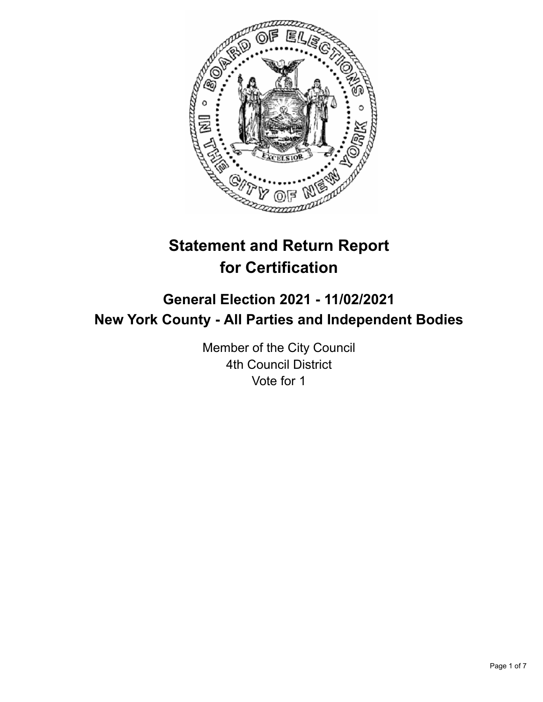

# **Statement and Return Report for Certification**

## **General Election 2021 - 11/02/2021 New York County - All Parties and Independent Bodies**

Member of the City Council 4th Council District Vote for 1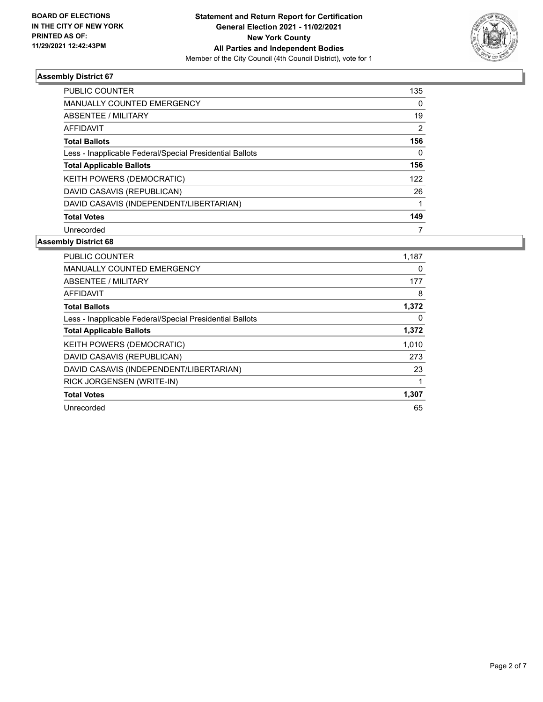

| <b>PUBLIC COUNTER</b>                                    | 135      |
|----------------------------------------------------------|----------|
| <b>MANUALLY COUNTED EMERGENCY</b>                        | $\Omega$ |
| ABSENTEE / MILITARY                                      | 19       |
| <b>AFFIDAVIT</b>                                         | 2        |
| <b>Total Ballots</b>                                     | 156      |
| Less - Inapplicable Federal/Special Presidential Ballots | $\Omega$ |
| <b>Total Applicable Ballots</b>                          | 156      |
| <b>KEITH POWERS (DEMOCRATIC)</b>                         | 122      |
| DAVID CASAVIS (REPUBLICAN)                               | 26       |
| DAVID CASAVIS (INDEPENDENT/LIBERTARIAN)                  |          |
| <b>Total Votes</b>                                       | 149      |
| Unrecorded                                               |          |

| <b>PUBLIC COUNTER</b>                                    | 1,187 |
|----------------------------------------------------------|-------|
| <b>MANUALLY COUNTED EMERGENCY</b>                        | 0     |
| ABSENTEE / MILITARY                                      | 177   |
| <b>AFFIDAVIT</b>                                         | 8     |
| <b>Total Ballots</b>                                     | 1,372 |
| Less - Inapplicable Federal/Special Presidential Ballots | 0     |
| <b>Total Applicable Ballots</b>                          | 1,372 |
| KEITH POWERS (DEMOCRATIC)                                | 1,010 |
| DAVID CASAVIS (REPUBLICAN)                               | 273   |
| DAVID CASAVIS (INDEPENDENT/LIBERTARIAN)                  | 23    |
| RICK JORGENSEN (WRITE-IN)                                | 1     |
| <b>Total Votes</b>                                       | 1,307 |
| Unrecorded                                               | 65    |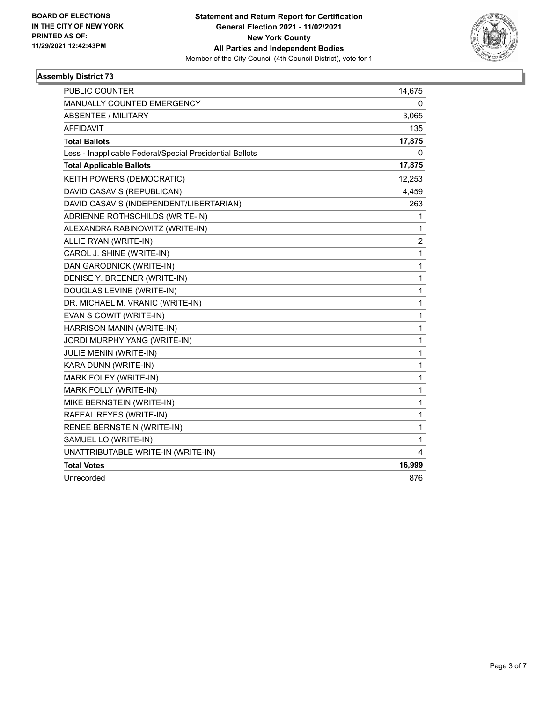

| PUBLIC COUNTER                                           | 14,675         |
|----------------------------------------------------------|----------------|
| MANUALLY COUNTED EMERGENCY                               | 0              |
| <b>ABSENTEE / MILITARY</b>                               | 3,065          |
| <b>AFFIDAVIT</b>                                         | 135            |
| <b>Total Ballots</b>                                     | 17,875         |
| Less - Inapplicable Federal/Special Presidential Ballots | 0              |
| <b>Total Applicable Ballots</b>                          | 17,875         |
| KEITH POWERS (DEMOCRATIC)                                | 12,253         |
| DAVID CASAVIS (REPUBLICAN)                               | 4,459          |
| DAVID CASAVIS (INDEPENDENT/LIBERTARIAN)                  | 263            |
| ADRIENNE ROTHSCHILDS (WRITE-IN)                          | 1              |
| ALEXANDRA RABINOWITZ (WRITE-IN)                          | 1              |
| ALLIE RYAN (WRITE-IN)                                    | $\overline{c}$ |
| CAROL J. SHINE (WRITE-IN)                                | 1              |
| DAN GARODNICK (WRITE-IN)                                 | 1              |
| DENISE Y. BREENER (WRITE-IN)                             | 1              |
| DOUGLAS LEVINE (WRITE-IN)                                | 1              |
| DR. MICHAEL M. VRANIC (WRITE-IN)                         | $\mathbf{1}$   |
| EVAN S COWIT (WRITE-IN)                                  | 1              |
| HARRISON MANIN (WRITE-IN)                                | 1              |
| JORDI MURPHY YANG (WRITE-IN)                             | 1              |
| JULIE MENIN (WRITE-IN)                                   | 1              |
| KARA DUNN (WRITE-IN)                                     | 1              |
| MARK FOLEY (WRITE-IN)                                    | 1              |
| MARK FOLLY (WRITE-IN)                                    | 1              |
| MIKE BERNSTEIN (WRITE-IN)                                | 1              |
| RAFEAL REYES (WRITE-IN)                                  | 1              |
| RENEE BERNSTEIN (WRITE-IN)                               | 1              |
| SAMUEL LO (WRITE-IN)                                     | 1              |
| UNATTRIBUTABLE WRITE-IN (WRITE-IN)                       | 4              |
| <b>Total Votes</b>                                       | 16,999         |
| Unrecorded                                               | 876            |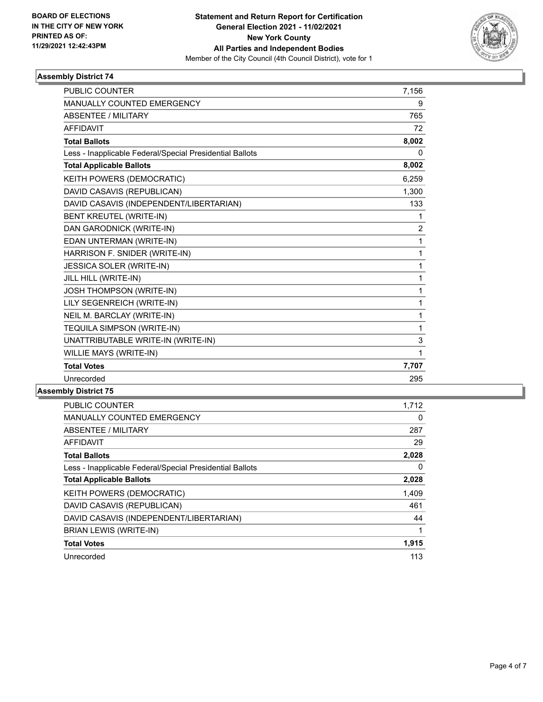

| <b>PUBLIC COUNTER</b>                                    | 7,156          |
|----------------------------------------------------------|----------------|
| MANUALLY COUNTED EMERGENCY                               | 9              |
| <b>ABSENTEE / MILITARY</b>                               | 765            |
| <b>AFFIDAVIT</b>                                         | 72             |
| <b>Total Ballots</b>                                     | 8,002          |
| Less - Inapplicable Federal/Special Presidential Ballots | $\Omega$       |
| <b>Total Applicable Ballots</b>                          | 8,002          |
| KEITH POWERS (DEMOCRATIC)                                | 6,259          |
| DAVID CASAVIS (REPUBLICAN)                               | 1,300          |
| DAVID CASAVIS (INDEPENDENT/LIBERTARIAN)                  | 133            |
| BENT KREUTEL (WRITE-IN)                                  | 1              |
| DAN GARODNICK (WRITE-IN)                                 | $\overline{2}$ |
| EDAN UNTERMAN (WRITE-IN)                                 | 1              |
| HARRISON F. SNIDER (WRITE-IN)                            | 1              |
| JESSICA SOLER (WRITE-IN)                                 | 1              |
| JILL HILL (WRITE-IN)                                     | 1              |
| JOSH THOMPSON (WRITE-IN)                                 | 1              |
| LILY SEGENREICH (WRITE-IN)                               | 1              |
| NEIL M. BARCLAY (WRITE-IN)                               | 1              |
| TEQUILA SIMPSON (WRITE-IN)                               | 1              |
| UNATTRIBUTABLE WRITE-IN (WRITE-IN)                       | 3              |
| WILLIE MAYS (WRITE-IN)                                   | 1              |
| <b>Total Votes</b>                                       | 7,707          |
| Unrecorded                                               | 295            |

| <b>PUBLIC COUNTER</b>                                    | 1,712 |
|----------------------------------------------------------|-------|
| <b>MANUALLY COUNTED EMERGENCY</b>                        | 0     |
| ABSENTEE / MILITARY                                      | 287   |
| <b>AFFIDAVIT</b>                                         | 29    |
| <b>Total Ballots</b>                                     | 2,028 |
| Less - Inapplicable Federal/Special Presidential Ballots | 0     |
| <b>Total Applicable Ballots</b>                          | 2,028 |
| KEITH POWERS (DEMOCRATIC)                                | 1,409 |
| DAVID CASAVIS (REPUBLICAN)                               | 461   |
| DAVID CASAVIS (INDEPENDENT/LIBERTARIAN)                  | 44    |
| <b>BRIAN LEWIS (WRITE-IN)</b>                            | 1     |
| <b>Total Votes</b>                                       | 1,915 |
| Unrecorded                                               | 113   |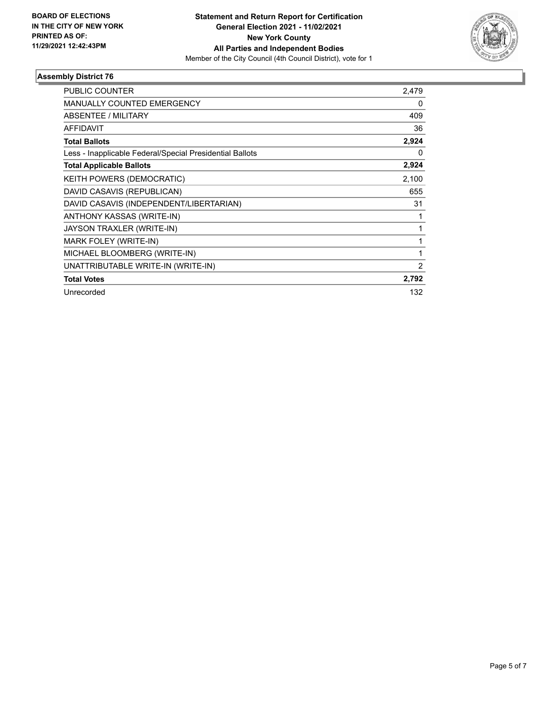

| PUBLIC COUNTER                                           | 2,479 |
|----------------------------------------------------------|-------|
| <b>MANUALLY COUNTED EMERGENCY</b>                        | 0     |
| ABSENTEE / MILITARY                                      | 409   |
| <b>AFFIDAVIT</b>                                         | 36    |
| <b>Total Ballots</b>                                     | 2,924 |
| Less - Inapplicable Federal/Special Presidential Ballots | 0     |
| <b>Total Applicable Ballots</b>                          | 2,924 |
| KEITH POWERS (DEMOCRATIC)                                | 2,100 |
| DAVID CASAVIS (REPUBLICAN)                               | 655   |
| DAVID CASAVIS (INDEPENDENT/LIBERTARIAN)                  | 31    |
| ANTHONY KASSAS (WRITE-IN)                                | 1     |
| JAYSON TRAXLER (WRITE-IN)                                | 1     |
| MARK FOLEY (WRITE-IN)                                    | 1     |
| MICHAEL BLOOMBERG (WRITE-IN)                             | 1     |
| UNATTRIBUTABLE WRITE-IN (WRITE-IN)                       | 2     |
| <b>Total Votes</b>                                       | 2,792 |
| Unrecorded                                               | 132   |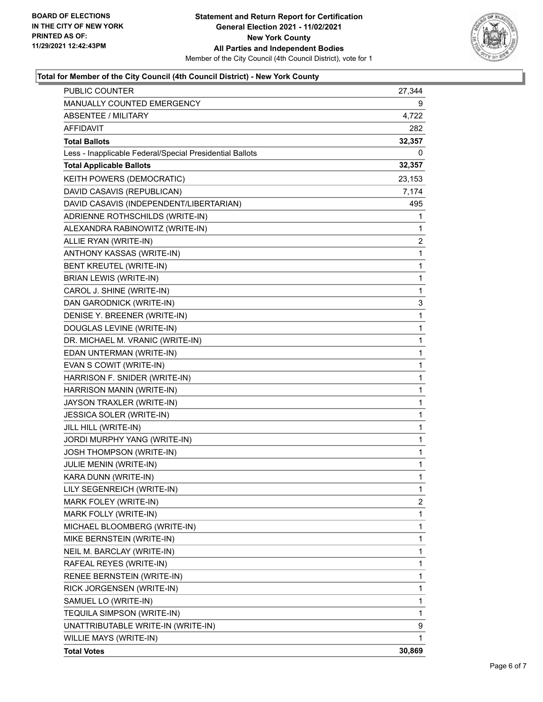

#### **Total for Member of the City Council (4th Council District) - New York County**

| PUBLIC COUNTER                                           | 27,344       |
|----------------------------------------------------------|--------------|
| MANUALLY COUNTED EMERGENCY                               | 9            |
| <b>ABSENTEE / MILITARY</b>                               | 4,722        |
| <b>AFFIDAVIT</b>                                         | 282          |
| <b>Total Ballots</b>                                     | 32,357       |
| Less - Inapplicable Federal/Special Presidential Ballots | 0            |
| <b>Total Applicable Ballots</b>                          | 32,357       |
| KEITH POWERS (DEMOCRATIC)                                | 23,153       |
| DAVID CASAVIS (REPUBLICAN)                               | 7,174        |
| DAVID CASAVIS (INDEPENDENT/LIBERTARIAN)                  | 495          |
| ADRIENNE ROTHSCHILDS (WRITE-IN)                          | 1            |
| ALEXANDRA RABINOWITZ (WRITE-IN)                          | 1            |
| ALLIE RYAN (WRITE-IN)                                    | 2            |
| ANTHONY KASSAS (WRITE-IN)                                | $\mathbf{1}$ |
| BENT KREUTEL (WRITE-IN)                                  | 1            |
| <b>BRIAN LEWIS (WRITE-IN)</b>                            | 1            |
| CAROL J. SHINE (WRITE-IN)                                | 1            |
| DAN GARODNICK (WRITE-IN)                                 | 3            |
| DENISE Y. BREENER (WRITE-IN)                             | 1            |
| DOUGLAS LEVINE (WRITE-IN)                                | $\mathbf 1$  |
| DR. MICHAEL M. VRANIC (WRITE-IN)                         | 1            |
| EDAN UNTERMAN (WRITE-IN)                                 | 1            |
| EVAN S COWIT (WRITE-IN)                                  | 1            |
| HARRISON F. SNIDER (WRITE-IN)                            | 1            |
| HARRISON MANIN (WRITE-IN)                                | 1            |
| JAYSON TRAXLER (WRITE-IN)                                | $\mathbf 1$  |
| JESSICA SOLER (WRITE-IN)                                 | 1            |
| JILL HILL (WRITE-IN)                                     | 1            |
| JORDI MURPHY YANG (WRITE-IN)                             | 1            |
| <b>JOSH THOMPSON (WRITE-IN)</b>                          | 1            |
| JULIE MENIN (WRITE-IN)                                   | 1            |
| KARA DUNN (WRITE-IN)                                     | $\mathbf{1}$ |
| LILY SEGENREICH (WRITE-IN)                               | 1            |
| MARK FOLEY (WRITE-IN)                                    | 2            |
| MARK FOLLY (WRITE-IN)                                    | 1            |
| MICHAEL BLOOMBERG (WRITE-IN)                             | 1            |
| MIKE BERNSTEIN (WRITE-IN)                                | 1            |
| NEIL M. BARCLAY (WRITE-IN)                               | 1            |
| RAFEAL REYES (WRITE-IN)                                  | 1            |
| RENEE BERNSTEIN (WRITE-IN)                               | 1            |
| RICK JORGENSEN (WRITE-IN)                                | 1            |
| SAMUEL LO (WRITE-IN)                                     | 1            |
| TEQUILA SIMPSON (WRITE-IN)                               | 1            |
| UNATTRIBUTABLE WRITE-IN (WRITE-IN)                       | 9            |
| WILLIE MAYS (WRITE-IN)                                   | 1            |
| <b>Total Votes</b>                                       | 30,869       |
|                                                          |              |